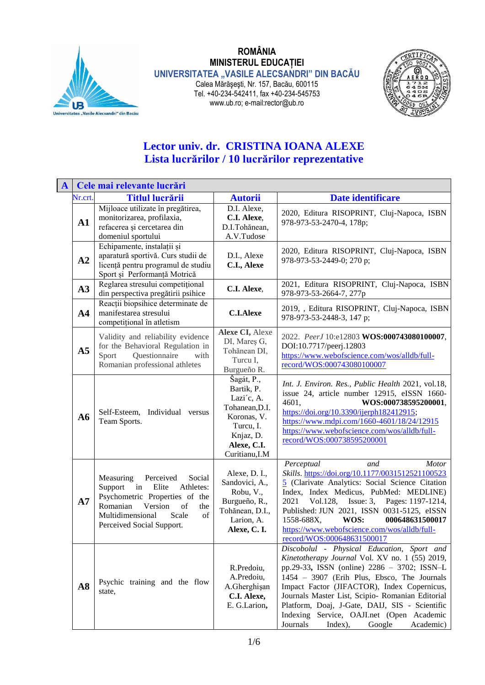

## **ROMÂNIA MINISTERUL EDUCAȚIEI UNIVERSITATEA "VASILE ALECSANDRI" DIN BACĂU** Calea Mărăşeşti, Nr. 157, Bacău, 600115 Tel. +40-234-542411, fax +40-234-545753 www.ub.ro; e-mail:rector@ub.ro



## **Lector univ. dr. CRISTINA IOANA ALEXE Lista lucrărilor / 10 lucrărilor reprezentative**

| $\mathbf{A}$ |                | Cele mai relevante lucrări                                                                                                                                                                                    |                                                                                                                                    |                                                                                                                                                                                                                                                                                                                                                                                                                                            |
|--------------|----------------|---------------------------------------------------------------------------------------------------------------------------------------------------------------------------------------------------------------|------------------------------------------------------------------------------------------------------------------------------------|--------------------------------------------------------------------------------------------------------------------------------------------------------------------------------------------------------------------------------------------------------------------------------------------------------------------------------------------------------------------------------------------------------------------------------------------|
|              | Nr.crt.        | <b>Titlul lucrării</b>                                                                                                                                                                                        | <b>Autorii</b>                                                                                                                     | Date identificare                                                                                                                                                                                                                                                                                                                                                                                                                          |
|              | A1             | Mijloace utilizate în pregătirea,<br>monitorizarea, profilaxia,<br>refacerea și cercetarea din<br>domeniul sportului                                                                                          | D.I. Alexe,<br>C.I. Alexe,<br>D.I.Tohănean,<br>A.V.Tudose                                                                          | 2020, Editura RISOPRINT, Cluj-Napoca, ISBN<br>978-973-53-2470-4, 178p;                                                                                                                                                                                                                                                                                                                                                                     |
|              | A2             | Echipamente, instalații și<br>aparatură sportivă. Curs studii de<br>licență pentru programul de studiu<br>Sport și Performanță Motrică                                                                        | D.I., Alexe<br>C.I., Alexe                                                                                                         | 2020, Editura RISOPRINT, Cluj-Napoca, ISBN<br>978-973-53-2449-0; 270 p;                                                                                                                                                                                                                                                                                                                                                                    |
|              | A3             | Reglarea stresului competițional<br>din perspectiva pregătirii psihice                                                                                                                                        | C.I. Alexe,                                                                                                                        | 2021, Editura RISOPRINT, Cluj-Napoca, ISBN<br>978-973-53-2664-7, 277p                                                                                                                                                                                                                                                                                                                                                                      |
|              | A <sub>4</sub> | Reacții biopsihice determinate de<br>manifestarea stresului<br>competitional în atletism                                                                                                                      | <b>C.I.Alexe</b>                                                                                                                   | 2019, , Editura RISOPRINT, Cluj-Napoca, ISBN<br>978-973-53-2448-3, 147 p;                                                                                                                                                                                                                                                                                                                                                                  |
|              | A <sub>5</sub> | Validity and reliability evidence<br>for the Behavioral Regulation in<br>Questionnaire<br>Sport<br>with<br>Romanian professional athletes                                                                     | Alexe CI, Alexe<br>DI, Mareş G,<br>Tohănean DI,<br>Turcu I,<br>Burgueño R.                                                         | 2022. PeerJ 10:e12803 WOS:000743080100007,<br>DOI:10.7717/peerj.12803<br>https://www.webofscience.com/wos/alldb/full-<br>record/WOS:000743080100007                                                                                                                                                                                                                                                                                        |
|              | A6             | Self-Esteem, Individual versus<br>Team Sports.                                                                                                                                                                | Šagát, P.,<br>Bartik, P.<br>Lazi'c, A.<br>Tohanean, D.I.<br>Koronas, V.<br>Turcu, I.<br>Knjaz, D.<br>Alexe, C.I.<br>Curitianu, I.M | Int. J. Environ. Res., Public Health 2021, vol.18,<br>issue 24, article number 12915, eISSN 1660-<br>4601,<br>WOS:000738595200001,<br>https://doi.org/10.3390/ijerph182412915;<br>https://www.mdpi.com/1660-4601/18/24/12915<br>https://www.webofscience.com/wos/alldb/full-<br>record/WOS:000738595200001                                                                                                                                 |
|              | A7             | Social<br>Measuring<br>Perceived<br>Support<br>Elite<br>Athletes:<br>in<br>Psychometric Properties of the<br>Romanian<br>Version<br>of<br>the<br>Multidimensional<br>of<br>Scale<br>Perceived Social Support. | Alexe, D. I.,<br>Sandovici, A.,<br>Robu, V.,<br>Burgueño, R.,<br>Tohănean, D.I.,<br>Larion, A.<br>Alexe, C.I.                      | Perceptual<br>and<br><b>Motor</b><br>Skills. https://doi.org/10.1177/0031512521100523<br>5 (Clarivate Analytics: Social Science Citation<br>Index, Index Medicus, PubMed: MEDLINE)<br>Issue: 3, Pages: 1197-1214,<br>Vol.128,<br>2021<br>Published: JUN 2021, ISSN 0031-5125, eISSN<br>1558-688X,<br>WOS:<br>000648631500017<br>https://www.webofscience.com/wos/alldb/full-<br>record/WOS:000648631500017                                 |
|              | A8             | Psychic training and the flow<br>state,                                                                                                                                                                       | R.Predoiu,<br>A.Predoiu,<br>A.Gherghişan<br>C.I. Alexe,<br>E. G.Larion,                                                            | Discobolul - Physical Education, Sport and<br>Kinetotherapy Journal Vol. XV no. 1 (55) 2019,<br>pp.29-33, ISSN (online) 2286 - 3702; ISSN-L<br>1454 - 3907 (Erih Plus, Ebsco, The Journals<br>Impact Factor (JIFACTOR), Index Copernicus,<br>Journals Master List, Scipio- Romanian Editorial<br>Platform, Doaj, J-Gate, DAIJ, SIS - Scientific<br>Indexing Service, OAJI.net (Open Academic<br>Journals<br>Index),<br>Google<br>Academic) |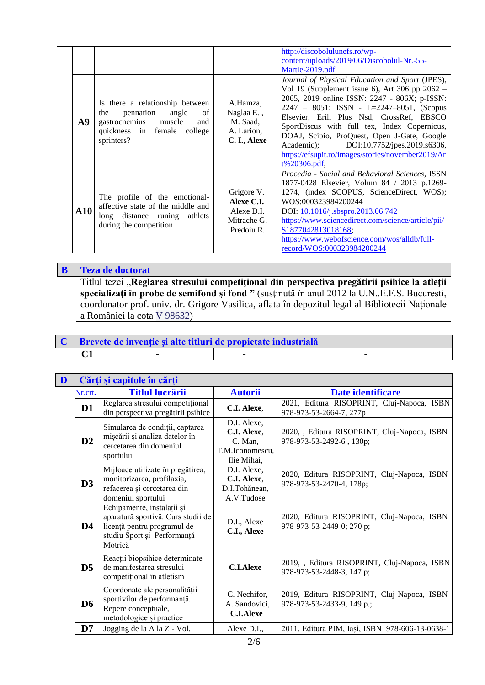| A9          | Is there a relationship between<br>pennation<br>angle<br>the<br>of<br>gastrocnemius<br>muscle<br>and  <br>quickness in female college<br>sprinters? | A.Hamza,<br>Naglaa E.,<br>M. Saad,<br>A. Larion,<br>C. I., Alexe    | http://discobolulunefs.ro/wp-<br>content/uploads/2019/06/Discobolul-Nr.-55-<br>Martie-2019.pdf<br>Journal of Physical Education and Sport (JPES),<br>Vol 19 (Supplement issue 6), Art 306 pp $2062 -$<br>2065, 2019 online ISSN: 2247 - 806X; p-ISSN:<br>$2247 - 8051$ ; ISSN - L=2247-8051, (Scopus<br>Elsevier, Erih Plus Nsd, CrossRef, EBSCO<br>SportDiscus with full tex, Index Copernicus,<br>DOAJ, Scipio, ProQuest, Open J-Gate, Google<br>Academic); DOI:10.7752/jpes.2019.s6306,<br>https://efsupit.ro/images/stories/november2019/Ar<br>$t\%20306.pdf$ . |
|-------------|-----------------------------------------------------------------------------------------------------------------------------------------------------|---------------------------------------------------------------------|---------------------------------------------------------------------------------------------------------------------------------------------------------------------------------------------------------------------------------------------------------------------------------------------------------------------------------------------------------------------------------------------------------------------------------------------------------------------------------------------------------------------------------------------------------------------|
| ${\bf A10}$ | The profile of the emotional-<br>affective state of the middle and<br>long distance runing athlets<br>during the competition                        | Grigore V.<br>Alexe C.I.<br>Alexe D.I.<br>Mitrache G.<br>Predoiu R. | Procedia - Social and Behavioral Sciences, ISSN<br>1877-0428 Elsevier, Volum 84 / 2013 p.1269-<br>1274, (index SCOPUS, ScienceDirect, WOS);<br>WOS:000323984200244<br>DOI: 10.1016/j.sbspro.2013.06.742<br>https://www.sciencedirect.com/science/article/pii/<br>S1877042813018168;<br>https://www.webofscience.com/wos/alldb/full-<br>record/WOS:000323984200244                                                                                                                                                                                                   |

**B Teza de doctorat** Titlul tezei "**Reglarea stresului competiţional din perspectiva pregătirii psihice la atleţii specializaţi în probe de semifond şi fond "** (susţinută în anul 2012 la U.N..E.F.S. Bucureşti, coordonator prof. univ. dr. Grigore Vasilica, aflata în depozitul legal al Bibliotecii Naționale a României la cota V 98632)

|    | $\mathbf{C}$   Brevete de invenție și alte titluri de propietate industrială |  |
|----|------------------------------------------------------------------------------|--|
| C1 |                                                                              |  |

| D |                | Cărți și capitole în cărți                                                                                                                |                                                                         |                                                                           |  |
|---|----------------|-------------------------------------------------------------------------------------------------------------------------------------------|-------------------------------------------------------------------------|---------------------------------------------------------------------------|--|
|   | Nr.crt.        | <b>Titlul lucrării</b>                                                                                                                    | <b>Autorii</b>                                                          | Date identificare                                                         |  |
|   | $\mathbf{D}1$  | Reglarea stresului competițional<br>din perspectiva pregătirii psihice                                                                    | C.I. Alexe,                                                             | 2021, Editura RISOPRINT, Cluj-Napoca, ISBN<br>978-973-53-2664-7, 277p     |  |
|   | D2             | Simularea de condiții, captarea<br>mișcării și analiza datelor în<br>cercetarea din domeniul<br>sportului                                 | D.I. Alexe,<br>C.I. Alexe.<br>C. Man.<br>T.M.Iconomescu,<br>Ilie Mihai, | 2020, , Editura RISOPRINT, Cluj-Napoca, ISBN<br>978-973-53-2492-6, 130p;  |  |
|   | D3             | Mijloace utilizate în pregătirea,<br>monitorizarea, profilaxia,<br>refacerea și cercetarea din<br>domeniul sportului                      | D.I. Alexe.<br>C.I. Alexe,<br>D.I.Tohănean,<br>A.V.Tudose               | 2020, Editura RISOPRINT, Cluj-Napoca, ISBN<br>978-973-53-2470-4, 178p;    |  |
|   | $\mathbf{D4}$  | Echipamente, instalații și<br>aparatură sportivă. Curs studii de<br>licență pentru programul de<br>studiu Sport și Performanță<br>Motrică | D.I., Alexe<br>C.I., Alexe                                              | 2020, Editura RISOPRINT, Cluj-Napoca, ISBN<br>978-973-53-2449-0; 270 p;   |  |
|   | D <sub>5</sub> | Reacții biopsihice determinate<br>de manifestarea stresului<br>competitional în atletism                                                  | <b>C.I.Alexe</b>                                                        | 2019, , Editura RISOPRINT, Cluj-Napoca, ISBN<br>978-973-53-2448-3, 147 p; |  |
|   | D <sub>6</sub> | Coordonate ale personalității<br>sportivilor de performanță.<br>Repere conceptuale,<br>metodologice și practice                           | C. Nechifor,<br>A. Sandovici,<br><b>C.I.Alexe</b>                       | 2019, Editura RISOPRINT, Cluj-Napoca, ISBN<br>978-973-53-2433-9, 149 p.;  |  |
|   | D7             | Jogging de la A la Z - Vol.I                                                                                                              | Alexe D.I.,                                                             | 2011, Editura PIM, Iași, ISBN 978-606-13-0638-1                           |  |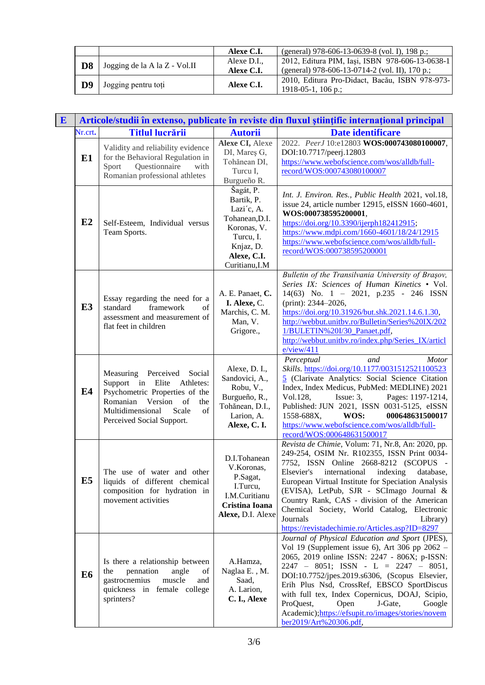|                |                               | Alexe C.I.  | (general) 978-606-13-0639-8 (vol. I), 198 p.;   |
|----------------|-------------------------------|-------------|-------------------------------------------------|
| D <sub>8</sub> | Jogging de la A la Z - Vol.II | Alexe D.I., | 2012, Editura PIM, Iași, ISBN 978-606-13-0638-1 |
|                |                               | Alexe C.I.  | (general) 978-606-13-0714-2 (vol. II), 170 p.;  |
| D9             | Jogging pentru toți           | Alexe C.I.  | 2010, Editura Pro-Didact, Bacău, ISBN 978-973-  |
|                |                               |             | 1918-05-1, 106 p.;                              |

| E |                |                                                                                                                                                                                                   |                                                                                                                                   | Articole/studii în extenso, publicate în reviste din fluxul științific internațional principal                                                                                                                                                                                                                                                                                                                                                                                |
|---|----------------|---------------------------------------------------------------------------------------------------------------------------------------------------------------------------------------------------|-----------------------------------------------------------------------------------------------------------------------------------|-------------------------------------------------------------------------------------------------------------------------------------------------------------------------------------------------------------------------------------------------------------------------------------------------------------------------------------------------------------------------------------------------------------------------------------------------------------------------------|
|   | Nr.crt.        | <b>Titlul lucrării</b>                                                                                                                                                                            | <b>Autorii</b>                                                                                                                    | Date identificare                                                                                                                                                                                                                                                                                                                                                                                                                                                             |
|   | E1             | Validity and reliability evidence<br>for the Behavioral Regulation in<br>Questionnaire<br>with<br>Sport<br>Romanian professional athletes                                                         | Alexe CI, Alexe<br>DI, Mareş G,<br>Tohănean DI,<br>Turcu I,<br>Burgueño R.                                                        | 2022. PeerJ 10:e12803 WOS:000743080100007,<br>DOI:10.7717/peerj.12803<br>https://www.webofscience.com/wos/alldb/full-<br>record/WOS:000743080100007                                                                                                                                                                                                                                                                                                                           |
|   | E2             | Self-Esteem, Individual versus<br>Team Sports.                                                                                                                                                    | Šagát, P.<br>Bartik, P.<br>Lazi'c, A.<br>Tohanean, D.I.<br>Koronas, V.<br>Turcu, I.<br>Knjaz, D.<br>Alexe, C.I.<br>Curitianu, I.M | Int. J. Environ. Res., Public Health 2021, vol.18,<br>issue 24, article number 12915, eISSN 1660-4601,<br>WOS:000738595200001,<br>https://doi.org/10.3390/ijerph182412915;<br>https://www.mdpi.com/1660-4601/18/24/12915<br>https://www.webofscience.com/wos/alldb/full-<br>record/WOS:000738595200001                                                                                                                                                                        |
|   | E <sub>3</sub> | Essay regarding the need for a<br>standard<br>framework<br>of<br>assessment and measurement of<br>flat feet in children                                                                           | A. E. Panaet, C.<br>I. Alexe, C.<br>Marchis, C. M.<br>Man, V.<br>Grigore.,                                                        | Bulletin of the Transilvania University of Braşov,<br>Series IX: Sciences of Human Kinetics • Vol.<br>14(63) No. 1 - 2021, p.235 - 246 ISSN<br>(print): 2344-2026,<br>https://doi.org/10.31926/but.shk.2021.14.6.1.30,<br>http://webbut.unitbv.ro/Bulletin/Series%20IX/202<br>1/BULETIN%20I/30_Panaet.pdf,<br>http://webbut.unitbv.ro/index.php/Series_IX/articl<br>e/view/411                                                                                                |
|   | E4             | Measuring Perceived<br>Social<br>Support in Elite<br>Athletes:<br>Psychometric Properties of the<br>Version of<br>Romanian<br>the<br>of<br>Multidimensional<br>Scale<br>Perceived Social Support. | Alexe, D. I.,<br>Sandovici, A.,<br>Robu, V.,<br>Burgueño, R.,<br>Tohănean, D.I.,<br>Larion, A.<br>Alexe, C.I.                     | Perceptual<br>and<br><b>Motor</b><br>Skills. https://doi.org/10.1177/0031512521100523<br>5 (Clarivate Analytics: Social Science Citation<br>Index, Index Medicus, PubMed: MEDLINE) 2021<br>Pages: 1197-1214,<br>Vol.128,<br>Issue: 3,<br>Published: JUN 2021, ISSN 0031-5125, eISSN<br>1558-688X,<br>WOS:<br>000648631500017<br>https://www.webofscience.com/wos/alldb/full-<br>record/WOS:000648631500017                                                                    |
|   | E <sub>5</sub> | The use of water and other<br>liquids of different chemical<br>composition for hydration in<br>movement activities                                                                                | D.I.Tohanean<br>V.Koronas,<br>P.Sagat,<br>I.Turcu,<br>I.M.Curitianu<br>Cristina Ioana<br>Alexe, D.I. Alexe                        | Revista de Chimie, Volum: 71, Nr.8, An: 2020, pp.<br>249-254, OSIM Nr. R102355, ISSN Print 0034-<br>7752, ISSN Online 2668-8212 (SCOPUS -<br>Elsevier's<br>international<br>indexing<br>database,<br>European Virtual Institute for Speciation Analysis<br>(EVISA), LetPub, SJR - SCImago Journal &<br>Country Rank, CAS - division of the American<br>Chemical Society, World Catalog, Electronic<br>Journals<br>Library)<br>https://revistadechimie.ro/Articles.asp?ID=8297 |
|   | E <sub>6</sub> | Is there a relationship between<br>pennation<br>the<br>angle<br>of<br>gastrocnemius<br>muscle<br>and<br>quickness in female college<br>sprinters?                                                 | A.Hamza,<br>Naglaa E., M.<br>Saad,<br>A. Larion,<br>C. I., Alexe                                                                  | Journal of Physical Education and Sport (JPES),<br>Vol 19 (Supplement issue 6), Art 306 pp $2062 -$<br>2065, 2019 online ISSN: 2247 - 806X; p-ISSN:<br>$2247 - 8051$ ; ISSN - L = 2247 - 8051,<br>DOI:10.7752/jpes.2019.s6306, (Scopus Elsevier,<br>Erih Plus Nsd, CrossRef, EBSCO SportDiscus<br>with full tex, Index Copernicus, DOAJ, Scipio,<br>ProQuest,<br>Open<br>J-Gate,<br>Google<br>Academic); https://efsupit.ro/images/stories/novem<br>ber2019/Art%20306.pdf,    |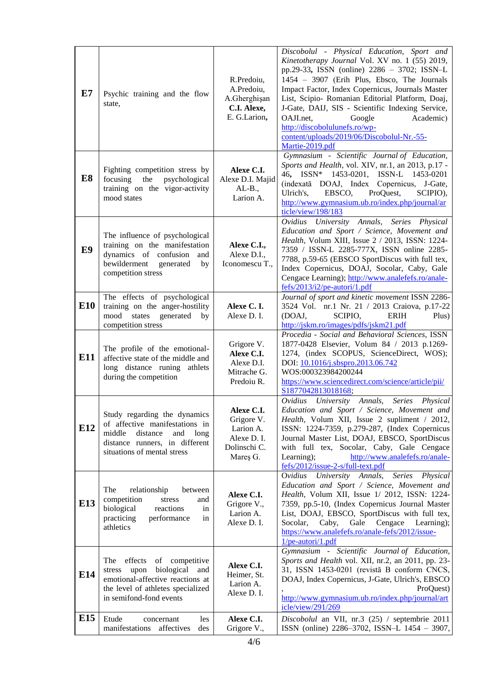| E7             | Psychic training and the flow<br>state,                                                                                                                                     | R.Predoiu,<br>A.Predoiu,<br>A.Gherghişan<br>C.I. Alexe,<br>E. G.Larion,          | Discobolul - Physical Education, Sport and<br>Kinetotherapy Journal Vol. XV no. 1 (55) 2019,<br>pp.29-33, ISSN (online) 2286 - 3702; ISSN-L<br>1454 - 3907 (Erih Plus, Ebsco, The Journals<br>Impact Factor, Index Copernicus, Journals Master<br>List, Scipio- Romanian Editorial Platform, Doaj,<br>J-Gate, DAIJ, SIS - Scientific Indexing Service,<br>OAJI.net,<br>Academic)<br>Google<br>http://discobolulunefs.ro/wp-<br>content/uploads/2019/06/Discobolul-Nr.-55-<br>Martie-2019.pdf |
|----------------|-----------------------------------------------------------------------------------------------------------------------------------------------------------------------------|----------------------------------------------------------------------------------|----------------------------------------------------------------------------------------------------------------------------------------------------------------------------------------------------------------------------------------------------------------------------------------------------------------------------------------------------------------------------------------------------------------------------------------------------------------------------------------------|
| E <sub>8</sub> | Fighting competition stress by<br>focusing the<br>psychological<br>training on the vigor-activity<br>mood states                                                            | Alexe C.I.<br>Alexe D.I. Majid<br>$AL-B.,$<br>Larion A.                          | Gymnasium - Scientific Journal of Education,<br>Sports and Health, vol. XIV, nr.1, an 2013, p.17 -<br>1453-0201, ISSN-L 1453-0201<br>46, $ISSN^*$<br>DOAJ, Index Copernicus, J-Gate,<br>(indexată<br>Ulrich's,<br>EBSCO,<br>ProQuest,<br>SCIPIO),<br>http://www.gymnasium.ub.ro/index.php/journal/ar<br>ticle/view/198/183                                                                                                                                                                   |
| E9             | The influence of psychological<br>training on the manifestation<br>dynamics of confusion<br>and<br>bewilderment<br>generated<br>by<br>competition stress                    | Alexe C.I.,<br>Alexe D.I.,<br>Iconomescu T.,                                     | University Annals, Series<br>Ovidius<br>Physical<br>Education and Sport / Science, Movement and<br>Health, Volum XIII, Issue 2 / 2013, ISSN: 1224-<br>7359 / ISSN-L 2285-777X, ISSN online 2285-<br>7788, p.59-65 (EBSCO SportDiscus with full tex,<br>Index Copernicus, DOAJ, Socolar, Caby, Gale<br>Cengace Learning); http://www.analefefs.ro/anale-<br>fefs/2013/i2/pe-autori/1.pdf                                                                                                      |
| <b>E10</b>     | The effects of psychological<br>training on the anger-hostility<br>mood states generated<br>by<br>competition stress                                                        | Alexe C.I.<br>Alexe D. I.                                                        | Journal of sport and kinetic movement ISSN 2286-<br>3524 Vol. nr.1 Nr. 21 / 2013 Craiova, p.17-22<br>(DOAJ,<br>SCIPIO,<br><b>ERIH</b><br>Plus)<br>http://jskm.ro/images/pdfs/jskm21.pdf                                                                                                                                                                                                                                                                                                      |
| E11            | The profile of the emotional-<br>affective state of the middle and<br>long distance runing athlets<br>during the competition                                                | Grigore V.<br>Alexe C.I.<br>Alexe D.I.<br>Mitrache G.<br>Predoiu R.              | Procedia - Social and Behavioral Sciences, ISSN<br>1877-0428 Elsevier, Volum 84 / 2013 p.1269-<br>1274, (index SCOPUS, ScienceDirect, WOS);<br>DOI: 10.1016/j.sbspro.2013.06.742<br>WOS:000323984200244<br>https://www.sciencedirect.com/science/article/pii/<br>S1877042813018168;                                                                                                                                                                                                          |
| E12            | Study regarding the dynamics<br>of affective manifestations in<br>middle<br>distance<br>and<br>long<br>distance runners, in different<br>situations of mental stress        | Alexe C.I.<br>Grigore V.<br>Larion A.<br>Alexe D. I.<br>Dolinschi C.<br>Mareş G. | Ovidius University Annals,<br><b>Series</b><br>Physical<br>Education and Sport / Science, Movement and<br>Health, Volum XII, Issue 2 supliment / 2012,<br>ISSN: 1224-7359, p.279-287, (Index Copernicus<br>Journal Master List, DOAJ, EBSCO, SportDiscus<br>with full tex, Socolar, Caby, Gale Cengace<br>http://www.analefefs.ro/anale-<br>Learning);<br>fefs/2012/issue-2-s/full-text.pdf                                                                                                  |
| E13            | The<br>relationship<br>between<br>competition<br>stress<br>and<br>biological<br>reactions<br>in<br>practicing<br>performance<br>in<br>athletics                             | Alexe C.I.<br>Grigore V.,<br>Larion A.<br>Alexe D. I.                            | Ovidius University Annals,<br>Series<br>Physical<br>Education and Sport / Science, Movement and<br>Health, Volum XII, Issue 1/ 2012, ISSN: 1224-<br>7359, pp.5-10, (Index Copernicus Journal Master<br>List, DOAJ, EBSCO, SportDiscus with full tex,<br>Caby,<br>Gale<br>Cengace<br>Socolar,<br>Learning);<br>https://www.analefefs.ro/anale-fefs/2012/issue-<br>1/pe-autori/1.pdf                                                                                                           |
| E14            | The<br>effects<br>of competitive<br>upon<br>biological<br>and<br>stress<br>emotional-affective reactions at<br>the level of athletes specialized<br>in semifond-fond events | Alexe C.I.<br>Heimer, St.<br>Larion A.<br>Alexe D. I.                            | Gymnasium - Scientific Journal of Education,<br>Sports and Health vol. XII, nr.2, an 2011, pp. 23-<br>31, ISSN 1453-0201 (revistă B conform CNCS,<br>DOAJ, Index Copernicus, J-Gate, Ulrich's, EBSCO<br>ProQuest)<br>http://www.gymnasium.ub.ro/index.php/journal/art<br>icle/view/291/269                                                                                                                                                                                                   |
| E15            | Etude<br>les<br>concernant<br>manifestations<br>affectives<br>des                                                                                                           | Alexe C.I.<br>Grigore V.,                                                        | Discobolul an VII, nr.3 (25) / septembrie 2011<br>ISSN (online) 2286-3702, ISSN-L 1454 - 3907,                                                                                                                                                                                                                                                                                                                                                                                               |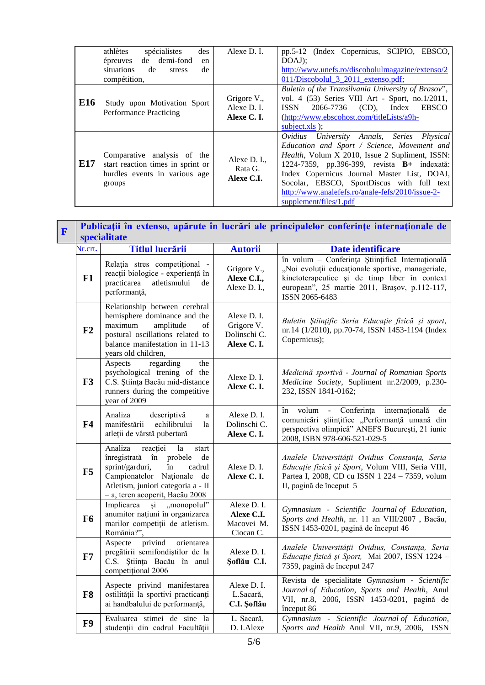|     | athlètes<br>des<br>spécialistes<br>de demi-fond<br>épreuves<br>en<br>situations<br>de<br>de<br>stress<br>compétition, | Alexe D. I.                               | pp.5-12 (Index Copernicus, SCIPIO, EBSCO,<br>$DOAJ$ :<br>http://www.unefs.ro/discobolulmagazine/extenso/2<br>011/Discobolul 3 2011 extenso.pdf;                                                                                                                                                                                                                                       |
|-----|-----------------------------------------------------------------------------------------------------------------------|-------------------------------------------|---------------------------------------------------------------------------------------------------------------------------------------------------------------------------------------------------------------------------------------------------------------------------------------------------------------------------------------------------------------------------------------|
| E16 | Study upon Motivation Sport<br><b>Performance Practicing</b>                                                          | Grigore V.,<br>Alexe D. I.<br>Alexe C. I. | Buletin of the Transilvania University of Brasov",<br>vol. 4 (53) Series VIII Art - Sport, no.1/2011,<br>2066-7736 (CD), Index<br><b>EBSCO</b><br><b>ISSN</b><br>$(http://www.ebscobost.com/titleLists/a9h-$<br>subject.xls $);$                                                                                                                                                      |
| E17 | Comparative analysis of the<br>start reaction times in sprint or<br>hurdles events in various age<br>groups           | Alexe D. I.,<br>Rata G.<br>Alexe C.I.     | Ovidius University Annals, Series Physical<br>Education and Sport / Science, Movement and<br><i>Health</i> , Volum X 2010, Issue 2 Supliment, ISSN:<br>1224-7359, pp.396-399, revista <b>B</b> + indexată:<br>Index Copernicus Journal Master List, DOAJ,<br>Socolar, EBSCO, SportDiscus with full text<br>http://www.analefefs.ro/anale-fefs/2010/issue-2-<br>supplement/files/1.pdf |

 $\mathbf{r}$ 

| $\mathbf{F}$ |                | Publicații în extenso, apărute în lucrări ale principalelor conferințe internaționale de<br>specialitate                                                                                                                      |                                                         |                                                                                                                                                                                                                           |  |
|--------------|----------------|-------------------------------------------------------------------------------------------------------------------------------------------------------------------------------------------------------------------------------|---------------------------------------------------------|---------------------------------------------------------------------------------------------------------------------------------------------------------------------------------------------------------------------------|--|
|              | Nr.crt.        | <b>Titlul lucrării</b>                                                                                                                                                                                                        | <b>Autorii</b>                                          | Date identificare                                                                                                                                                                                                         |  |
|              | F1             | Relația stres competițional -<br>reacții biologice - experiență în<br>atletismului<br>practicarea<br>de<br>performanță,                                                                                                       | Grigore V.,<br>Alexe C.I.,<br>Alexe D. I.,              | în volum - Conferința Științifică Internațională<br>"Noi evoluții educaționale sportive, manageriale,<br>kinetoterapeutice și de timp liber în context<br>european", 25 martie 2011, Brașov, p.112-117,<br>ISSN 2065-6483 |  |
|              | F2             | Relationship between cerebral<br>hemisphere dominance and the<br>maximum<br>amplitude<br>of<br>postural oscillations related to<br>balance manifestation in 11-13<br>years old children,                                      | Alexe D. I.<br>Grigore V.<br>Dolinschi C.<br>Alexe C.I. | Buletin Științific Seria Educație fizică și sport,<br>nr.14 (1/2010), pp.70-74, ISSN 1453-1194 (Index<br>Copernicus);                                                                                                     |  |
|              | F3             | regarding<br>Aspects<br>the<br>psychological trening of the<br>C.S. Știința Bacău mid-distance<br>runners during the competitive<br>year of 2009                                                                              | Alexe D. I.<br>Alexe C.I.                               | Medicină sportivă - Journal of Romanian Sports<br>Medicine Society, Supliment nr.2/2009, p.230-<br>232, ISSN 1841-0162;                                                                                                   |  |
|              | F <sub>4</sub> | Analiza<br>descriptivă<br>a<br>manifestării<br>echilibrului<br>la<br>atleții de vârstă pubertară                                                                                                                              | Alexe D. I.<br>Dolinschi C.<br>Alexe C.I.               | Conferința<br>internațională<br>volum -<br>de<br>în<br>comunicări științifice "Performanță umană din<br>perspectiva olimpică" ANEFS București, 21 iunie<br>2008, ISBN 978-606-521-029-5                                   |  |
|              | F5             | Analiza<br>reacției<br>la<br>start<br>înregistrată în probele<br>de<br>sprint/garduri,<br>$\mathbf{\hat{m}}$<br>cadrul<br>Campionatelor Naționale de<br>Atletism, juniori categoria a - II<br>- a, teren acoperit, Bacău 2008 | Alexe D. I.<br>Alexe C.I.                               | Analele Universității Ovidius Constanța, Seria<br>Educație fizică și Sport, Volum VIII, Seria VIII,<br>Partea I, 2008, CD cu ISSN 1 224 - 7359, volum<br>II, pagină de început 5                                          |  |
|              | <b>F6</b>      | Implicarea<br>și, "monopolul"<br>anumitor națiuni în organizarea<br>marilor competiții de atletism.<br>România?",                                                                                                             | Alexe D. I.<br>Alexe C.I.<br>Macovei M.<br>Ciocan C.    | Gymnasium - Scientific Journal of Education,<br>Sports and Health, nr. 11 an VIII/2007, Bacău,<br>ISSN 1453-0201, pagină de început 46                                                                                    |  |
|              | F7             | Aspecte privind<br>orientarea<br>pregătirii semifondiștilor de la<br>C.S. Știința Bacău în anul<br>competitional 2006                                                                                                         | Alexe D. I.<br>Soflău C.I.                              | Analele Universității Ovidius, Constanța, Seria<br>Educație fizică și Sport, Mai 2007, ISSN 1224 -<br>7359, pagină de început 247                                                                                         |  |
|              | F8             | Aspecte privind manifestarea<br>ostilității la sportivi practicanți<br>ai handbalului de performanță,                                                                                                                         | Alexe D. I.<br>L.Sacară,<br>C.I. Şoflău                 | Revista de specialitate Gymnasium - Scientific<br>Journal of Education, Sports and Health, Anul<br>VII, nr.8, 2006, ISSN 1453-0201, pagină de<br>început 86                                                               |  |
|              | F9             | Evaluarea stimei de sine la<br>studenții din cadrul Facultății                                                                                                                                                                | L. Sacară,<br>D. I.Alexe                                | Gymnasium - Scientific Journal of Education,<br>Sports and Health Anul VII, nr.9, 2006, ISSN                                                                                                                              |  |